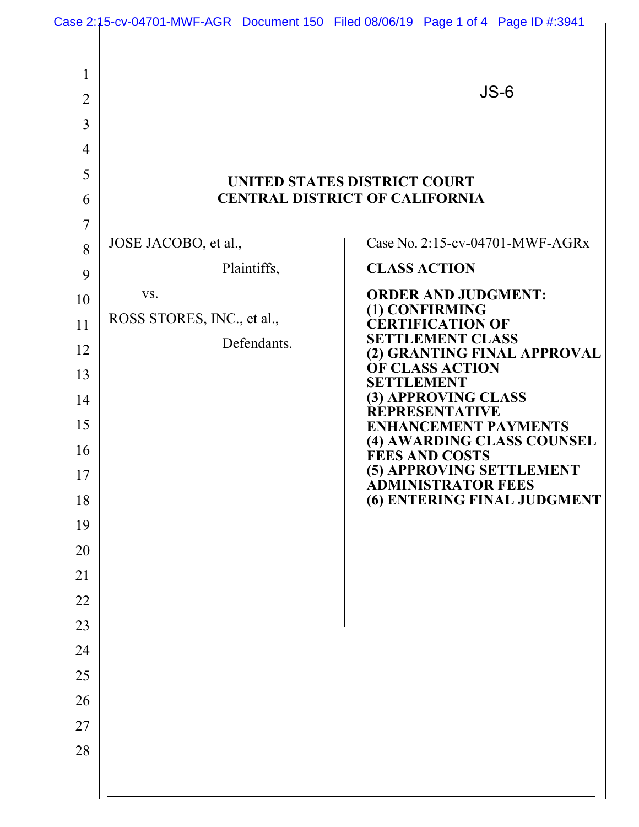| 1<br>$\overline{2}$<br>3<br>$\overline{4}$               |                                                  | $JS-6$                                                                                                                                                                                                                                                                                                                                                                                                 |
|----------------------------------------------------------|--------------------------------------------------|--------------------------------------------------------------------------------------------------------------------------------------------------------------------------------------------------------------------------------------------------------------------------------------------------------------------------------------------------------------------------------------------------------|
| 5<br>6                                                   |                                                  | <b>UNITED STATES DISTRICT COURT</b><br><b>CENTRAL DISTRICT OF CALIFORNIA</b>                                                                                                                                                                                                                                                                                                                           |
| 7<br>8<br>9                                              | JOSE JACOBO, et al.,<br>Plaintiffs,              | Case No. 2:15-cv-04701-MWF-AGRx<br><b>CLASS ACTION</b>                                                                                                                                                                                                                                                                                                                                                 |
| 10<br>11<br>12<br>13<br>14<br>15<br>16<br>17<br>18<br>19 | VS.<br>ROSS STORES, INC., et al.,<br>Defendants. | <b>ORDER AND JUDGMENT:</b><br>(1) CONFIRMING<br><b>ERTIFICATION OF</b><br><b>SETTLEMENT CLASS</b><br>(2) GRANTING FINAL APPROVAL<br><b>OF CLASS ACTION</b><br><b>SETTLEMENT</b><br>(3) APPROVING CLASS<br><b>REPRESENTATIVE</b><br><b>ENHANCEMENT PAYMENTS</b><br>(4) AWARDING CLASS COUNSEL<br>FÉES AND COSTS<br>(5) APPROVING SETTLEMENT<br><b>ADMINISTRATOR FEES</b><br>(6) ENTERING FINAL JUDGMENT |
| 20<br>21<br>22<br>23<br>24<br>25<br>26<br>27<br>28       |                                                  |                                                                                                                                                                                                                                                                                                                                                                                                        |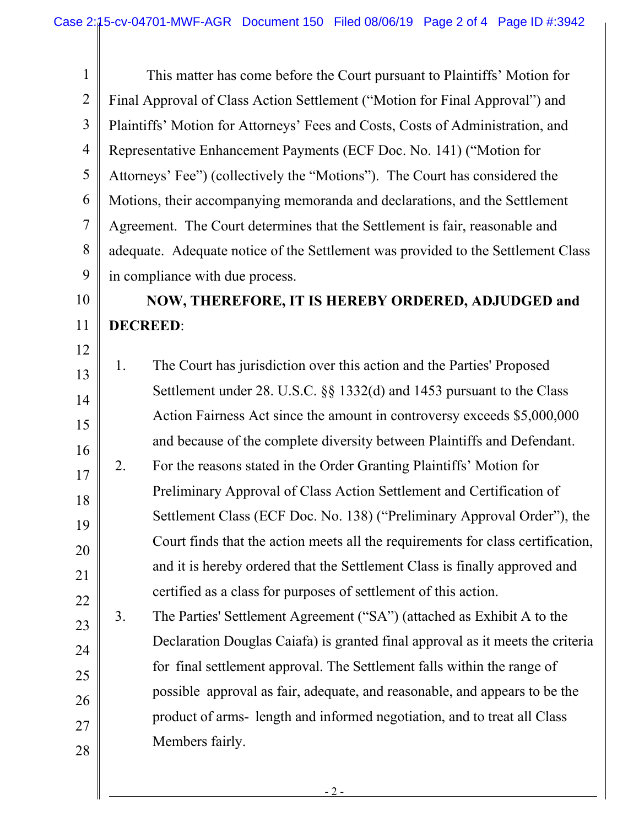1 2 3 4 5 6 7 8 9 This matter has come before the Court pursuant to Plaintiffs' Motion for Final Approval of Class Action Settlement ("Motion for Final Approval") and Plaintiffs' Motion for Attorneys' Fees and Costs, Costs of Administration, and Representative Enhancement Payments (ECF Doc. No. 141) ("Motion for Attorneys' Fee") (collectively the "Motions"). The Court has considered the Motions, their accompanying memoranda and declarations, and the Settlement Agreement. The Court determines that the Settlement is fair, reasonable and adequate. Adequate notice of the Settlement was provided to the Settlement Class in compliance with due process.

10

11

## **NOW, THEREFORE, IT IS HEREBY ORDERED, ADJUDGED and DECREED**:

- 12 13 14 15 16 17 18 19 20 21 22 1. The Court has jurisdiction over this action and the Parties' Proposed Settlement under 28. U.S.C. §§ 1332(d) and 1453 pursuant to the Class Action Fairness Act since the amount in controversy exceeds \$5,000,000 and because of the complete diversity between Plaintiffs and Defendant. 2. For the reasons stated in the Order Granting Plaintiffs' Motion for Preliminary Approval of Class Action Settlement and Certification of Settlement Class (ECF Doc. No. 138) ("Preliminary Approval Order"), the Court finds that the action meets all the requirements for class certification, and it is hereby ordered that the Settlement Class is finally approved and certified as a class for purposes of settlement of this action.
- 23 24 25 26 27 28 3. The Parties' Settlement Agreement ("SA") (attached as Exhibit A to the Declaration Douglas Caiafa) is granted final approval as it meets the criteria for final settlement approval. The Settlement falls within the range of possible approval as fair, adequate, and reasonable, and appears to be the product of arms- length and informed negotiation, and to treat all Class Members fairly.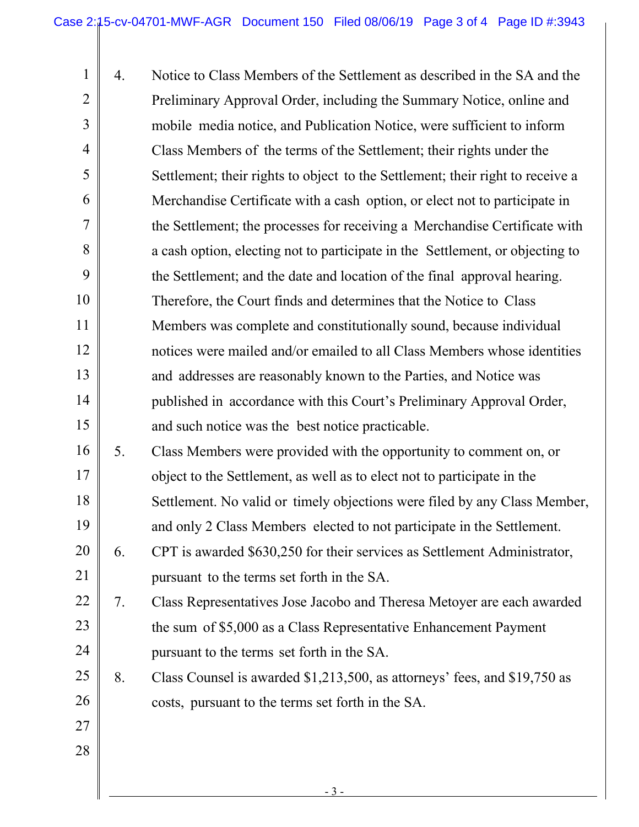1 2 3 4 5 6 7 8 9 10 11 12 13 14 15 16 17 18 19 20 21 22 23 24 25 26 27 28 4. Notice to Class Members of the Settlement as described in the SA and the Preliminary Approval Order, including the Summary Notice, online and mobile media notice, and Publication Notice, were sufficient to inform Class Members of the terms of the Settlement; their rights under the Settlement; their rights to object to the Settlement; their right to receive a Merchandise Certificate with a cash option, or elect not to participate in the Settlement; the processes for receiving a Merchandise Certificate with a cash option, electing not to participate in the Settlement, or objecting to the Settlement; and the date and location of the final approval hearing. Therefore, the Court finds and determines that the Notice to Class Members was complete and constitutionally sound, because individual notices were mailed and/or emailed to all Class Members whose identities and addresses are reasonably known to the Parties, and Notice was published in accordance with this Court's Preliminary Approval Order, and such notice was the best notice practicable. 5. Class Members were provided with the opportunity to comment on, or object to the Settlement, as well as to elect not to participate in the Settlement. No valid or timely objections were filed by any Class Member, and only 2 Class Members elected to not participate in the Settlement. 6. CPT is awarded \$630,250 for their services as Settlement Administrator, pursuant to the terms set forth in the SA. 7. Class Representatives Jose Jacobo and Theresa Metoyer are each awarded the sum of \$5,000 as a Class Representative Enhancement Payment pursuant to the terms set forth in the SA. 8. Class Counsel is awarded \$1,213,500, as attorneys' fees, and \$19,750 as costs, pursuant to the terms set forth in the SA.